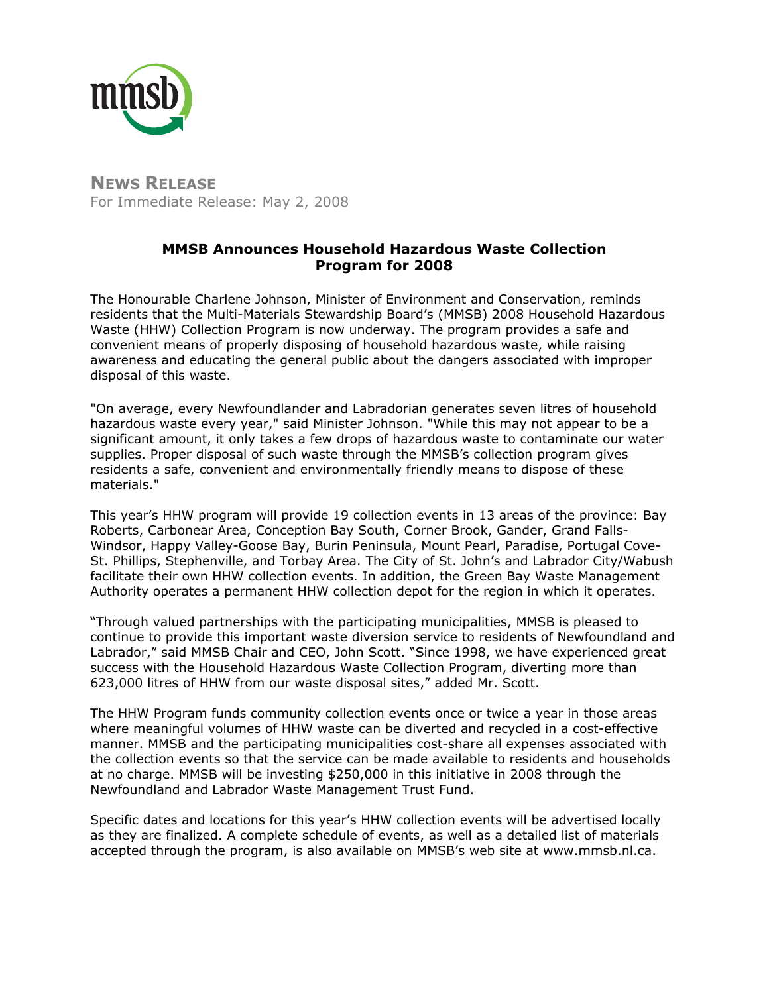

**NEWS RELEASE** For Immediate Release: May 2, 2008

# **MMSB Announces Household Hazardous Waste Collection Program for 2008**

The Honourable Charlene Johnson, Minister of Environment and Conservation, reminds residents that the Multi-Materials Stewardship Board's (MMSB) 2008 Household Hazardous Waste (HHW) Collection Program is now underway. The program provides a safe and convenient means of properly disposing of household hazardous waste, while raising awareness and educating the general public about the dangers associated with improper disposal of this waste.

"On average, every Newfoundlander and Labradorian generates seven litres of household hazardous waste every year," said Minister Johnson. "While this may not appear to be a significant amount, it only takes a few drops of hazardous waste to contaminate our water supplies. Proper disposal of such waste through the MMSB's collection program gives residents a safe, convenient and environmentally friendly means to dispose of these materials."

This year's HHW program will provide 19 collection events in 13 areas of the province: Bay Roberts, Carbonear Area, Conception Bay South, Corner Brook, Gander, Grand Falls-Windsor, Happy Valley-Goose Bay, Burin Peninsula, Mount Pearl, Paradise, Portugal Cove-St. Phillips, Stephenville, and Torbay Area. The City of St. John's and Labrador City/Wabush facilitate their own HHW collection events. In addition, the Green Bay Waste Management Authority operates a permanent HHW collection depot for the region in which it operates.

"Through valued partnerships with the participating municipalities, MMSB is pleased to continue to provide this important waste diversion service to residents of Newfoundland and Labrador," said MMSB Chair and CEO, John Scott. "Since 1998, we have experienced great success with the Household Hazardous Waste Collection Program, diverting more than 623,000 litres of HHW from our waste disposal sites," added Mr. Scott.

The HHW Program funds community collection events once or twice a year in those areas where meaningful volumes of HHW waste can be diverted and recycled in a cost-effective manner. MMSB and the participating municipalities cost-share all expenses associated with the collection events so that the service can be made available to residents and households at no charge. MMSB will be investing \$250,000 in this initiative in 2008 through the Newfoundland and Labrador Waste Management Trust Fund.

Specific dates and locations for this year's HHW collection events will be advertised locally as they are finalized. A complete schedule of events, as well as a detailed list of materials accepted through the program, is also available on MMSB's web site at www.mmsb.nl.ca.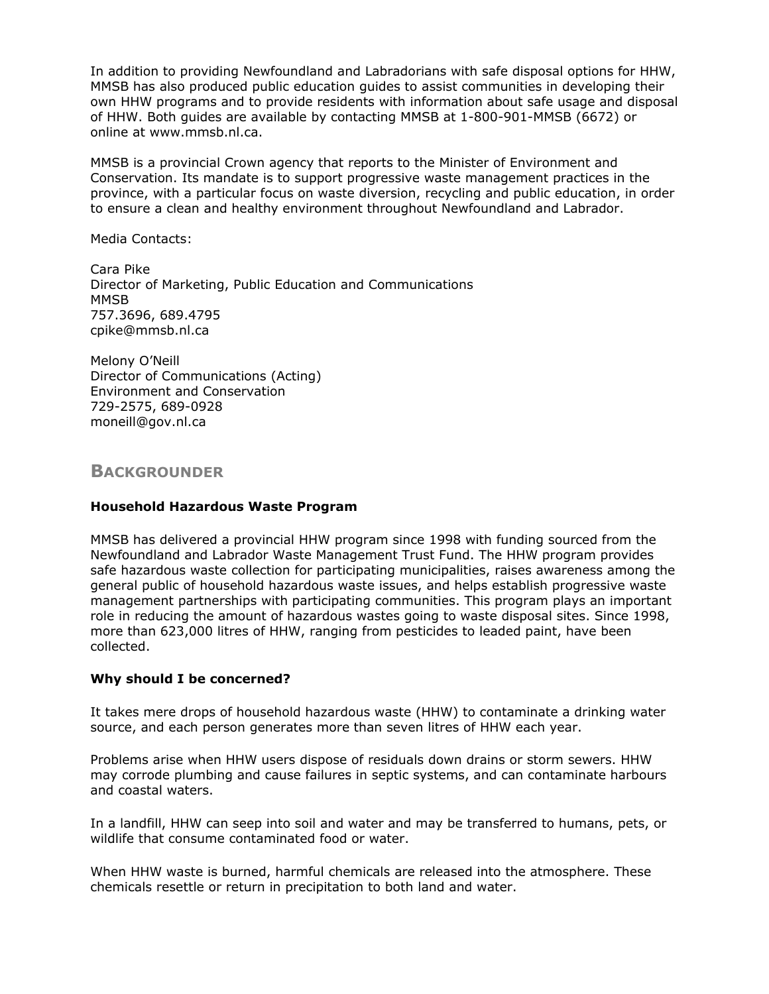In addition to providing Newfoundland and Labradorians with safe disposal options for HHW, MMSB has also produced public education guides to assist communities in developing their own HHW programs and to provide residents with information about safe usage and disposal of HHW. Both guides are available by contacting MMSB at 1-800-901-MMSB (6672) or online at www.mmsb.nl.ca.

MMSB is a provincial Crown agency that reports to the Minister of Environment and Conservation. Its mandate is to support progressive waste management practices in the province, with a particular focus on waste diversion, recycling and public education, in order to ensure a clean and healthy environment throughout Newfoundland and Labrador.

Media Contacts:

Cara Pike Director of Marketing, Public Education and Communications MMSB 757.3696, 689.4795 cpike@mmsb.nl.ca

Melony O'Neill Director of Communications (Acting) Environment and Conservation 729-2575, 689-0928 moneill@gov.nl.ca

**BACKGROUNDER**

#### **Household Hazardous Waste Program**

MMSB has delivered a provincial HHW program since 1998 with funding sourced from the Newfoundland and Labrador Waste Management Trust Fund. The HHW program provides safe hazardous waste collection for participating municipalities, raises awareness among the general public of household hazardous waste issues, and helps establish progressive waste management partnerships with participating communities. This program plays an important role in reducing the amount of hazardous wastes going to waste disposal sites. Since 1998, more than 623,000 litres of HHW, ranging from pesticides to leaded paint, have been collected.

#### **Why should I be concerned?**

It takes mere drops of household hazardous waste (HHW) to contaminate a drinking water source, and each person generates more than seven litres of HHW each year.

Problems arise when HHW users dispose of residuals down drains or storm sewers. HHW may corrode plumbing and cause failures in septic systems, and can contaminate harbours and coastal waters.

In a landfill, HHW can seep into soil and water and may be transferred to humans, pets, or wildlife that consume contaminated food or water.

When HHW waste is burned, harmful chemicals are released into the atmosphere. These chemicals resettle or return in precipitation to both land and water.